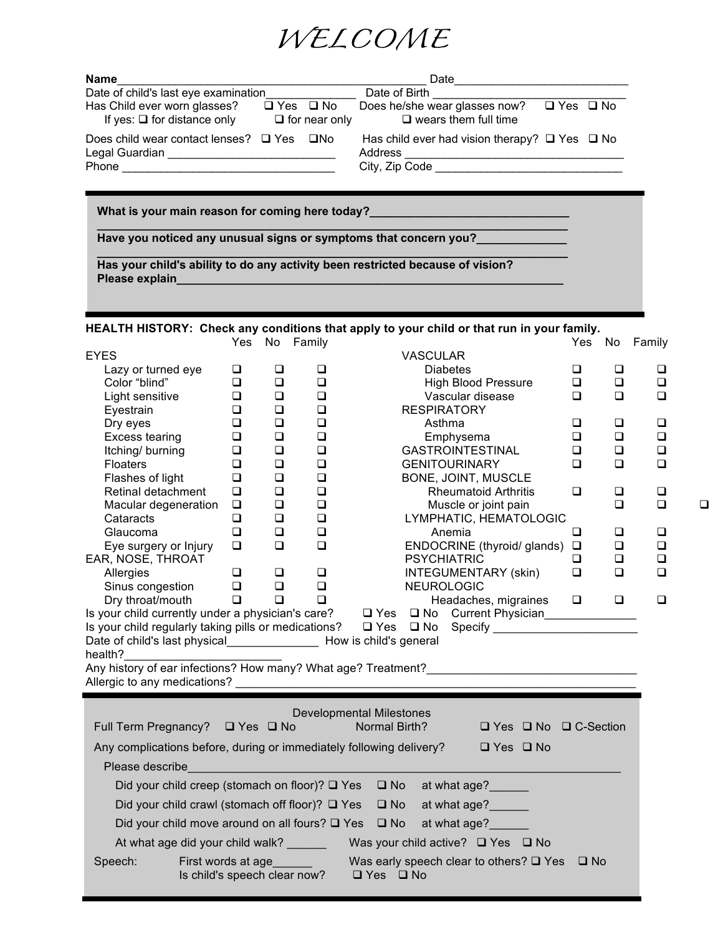

| <b>Name</b>                                                             |                      |                      | Date                                                                                 |                      |  |  |
|-------------------------------------------------------------------------|----------------------|----------------------|--------------------------------------------------------------------------------------|----------------------|--|--|
| Date of child's last eye examination                                    |                      |                      | Date of Birth <b>Example</b>                                                         |                      |  |  |
| Has Child ever worn glasses?<br>If yes: $\square$ for distance only     | $\Box$ Yes $\Box$ No | $\Box$ for near only | Does he/she wear glasses now?<br>$\square$ wears them full time                      | $\Box$ Yes $\Box$ No |  |  |
| Does child wear contact lenses? $\Box$ Yes<br>Phone <b>Example 2019</b> |                      | □No                  | Has child ever had vision therapy? $\Box$ Yes $\Box$ No<br>Address<br>City, Zip Code |                      |  |  |
| What is your main reason for coming here today?                         |                      |                      |                                                                                      |                      |  |  |

**Have you noticed any unusual signs or symptoms that concern you?\_\_\_\_\_\_\_\_\_\_\_\_\_\_**

**Has your child's ability to do any activity been restricted because of vision? Please explain\_\_\_\_\_\_\_\_\_\_\_\_\_\_\_\_\_\_\_\_\_\_\_\_\_\_\_\_\_\_\_\_\_\_\_\_\_\_\_\_\_\_\_\_\_\_\_\_\_\_\_\_\_\_\_\_\_\_\_\_**

## **HEALTH HISTORY: Check any conditions that apply to your child or that run in your family.**

**\_\_\_\_\_\_\_\_\_\_\_\_\_\_\_\_\_\_\_\_\_\_\_\_\_\_\_\_\_\_\_\_\_\_\_\_\_\_\_\_\_\_\_\_\_\_\_\_\_\_\_\_\_\_\_\_\_\_\_\_\_\_\_\_\_\_\_\_\_\_\_\_\_**

**\_\_\_\_\_\_\_\_\_\_\_\_\_\_\_\_\_\_\_\_\_\_\_\_\_\_\_\_\_\_\_\_\_\_\_\_\_\_\_\_\_\_\_\_\_\_\_\_\_\_\_\_\_\_\_\_\_\_\_\_\_\_\_\_\_\_\_\_\_\_\_\_\_**

|                                                                             | Yes              |                  | No Family                               |                                                                                                | Yes    |        | No Family |   |
|-----------------------------------------------------------------------------|------------------|------------------|-----------------------------------------|------------------------------------------------------------------------------------------------|--------|--------|-----------|---|
| <b>EYES</b>                                                                 |                  |                  |                                         | <b>VASCULAR</b>                                                                                |        |        |           |   |
| Lazy or turned eye                                                          | $\Box$           | $\Box$           | $\Box$                                  | <b>Diabetes</b>                                                                                | $\Box$ | $\Box$ | $\Box$    |   |
| Color "blind"                                                               | $\Box$           | $\Box$           | $\Box$                                  | <b>High Blood Pressure</b>                                                                     | $\Box$ | $\Box$ | $\Box$    |   |
| Light sensitive                                                             | $\Box$           | $\Box$           | $\Box$                                  | Vascular disease                                                                               | $\Box$ | $\Box$ | $\Box$    |   |
| Eyestrain                                                                   | $\Box$<br>$\Box$ | $\Box$<br>$\Box$ | $\Box$<br>$\Box$                        | <b>RESPIRATORY</b><br>Asthma                                                                   | $\Box$ | $\Box$ | $\Box$    |   |
| Dry eyes<br>Excess tearing                                                  | $\Box$           | $\Box$           | $\Box$                                  | Emphysema                                                                                      | $\Box$ | $\Box$ | $\Box$    |   |
| Itching/burning                                                             | $\Box$           | $\Box$           | $\Box$                                  | GASTROINTESTINAL                                                                               | $\Box$ | $\Box$ | $\Box$    |   |
| <b>Floaters</b>                                                             | $\Box$           | $\Box$           | $\Box$                                  | <b>GENITOURINARY</b>                                                                           | $\Box$ | $\Box$ | $\Box$    |   |
| Flashes of light                                                            | $\Box$           | $\Box$           | $\Box$                                  | BONE, JOINT, MUSCLE                                                                            |        |        |           |   |
| Retinal detachment                                                          | $\Box$           | $\Box$           | $\Box$                                  | <b>Rheumatoid Arthritis</b>                                                                    | $\Box$ | $\Box$ | $\Box$    |   |
| Macular degeneration                                                        | $\Box$           | $\Box$           | $\Box$                                  | Muscle or joint pain                                                                           |        | ❏      | $\Box$    | □ |
| Cataracts                                                                   | $\Box$           | $\Box$           | $\Box$                                  | LYMPHATIC, HEMATOLOGIC                                                                         |        |        |           |   |
| Glaucoma                                                                    | $\Box$           | $\Box$           | $\Box$                                  | Anemia                                                                                         | $\Box$ | $\Box$ | $\Box$    |   |
| Eye surgery or Injury                                                       | $\Box$           | $\Box$           | $\Box$                                  | ENDOCRINE (thyroid/ glands) $\Box$                                                             |        | $\Box$ | $\Box$    |   |
| EAR, NOSE, THROAT                                                           |                  |                  |                                         | <b>PSYCHIATRIC</b>                                                                             | $\Box$ | $\Box$ | $\Box$    |   |
| Allergies                                                                   | $\Box$           | $\Box$           | $\Box$                                  | INTEGUMENTARY (skin)                                                                           | $\Box$ | $\Box$ | $\Box$    |   |
| Sinus congestion                                                            | $\Box$           | $\Box$           | $\Box$                                  | NEUROLOGIC                                                                                     |        |        |           |   |
|                                                                             |                  |                  |                                         |                                                                                                |        |        | $\Box$    |   |
|                                                                             |                  |                  |                                         |                                                                                                |        |        |           |   |
| Date of child's last physical____________________ How is child's general    |                  |                  |                                         |                                                                                                |        |        |           |   |
| health?                                                                     |                  |                  |                                         |                                                                                                |        |        |           |   |
|                                                                             |                  |                  |                                         |                                                                                                |        |        |           |   |
|                                                                             |                  |                  |                                         | Allergic to any medications?                                                                   |        |        |           |   |
|                                                                             |                  |                  |                                         |                                                                                                |        |        |           |   |
|                                                                             |                  |                  |                                         | <b>Developmental Milestones</b>                                                                |        |        |           |   |
| Full Term Pregnancy? □ Yes □ No                                             |                  |                  |                                         | <b>Example 2 Normal Birth?</b><br>$\Box$ Yes $\Box$ No $\Box$ C-Section                        |        |        |           |   |
|                                                                             |                  |                  |                                         |                                                                                                |        |        |           |   |
|                                                                             |                  |                  |                                         | Any complications before, during or immediately following delivery? $\square$ Yes $\square$ No |        |        |           |   |
| Please describe                                                             |                  |                  |                                         |                                                                                                |        |        |           |   |
|                                                                             |                  |                  |                                         | Did your child creep (stomach on floor)? □ Yes □ No at what age?                               |        |        |           |   |
| Did your child crawl (stomach off floor)? □ Yes □ No                        |                  |                  |                                         | at what age?                                                                                   |        |        |           |   |
| Did your child move around on all fours? $\Box$ Yes $\Box$ No               |                  |                  |                                         | at what age?                                                                                   |        |        |           |   |
| At what age did your child walk? ________ Was your child active? □ Yes □ No |                  |                  |                                         |                                                                                                |        |        |           |   |
| Speech:<br>Is child's speech clear now?                                     |                  |                  | First words at age<br><u>Example 20</u> | Was early speech clear to others? $\Box$ Yes $\Box$ No<br>$\Box$ Yes $\Box$ No                 |        |        |           |   |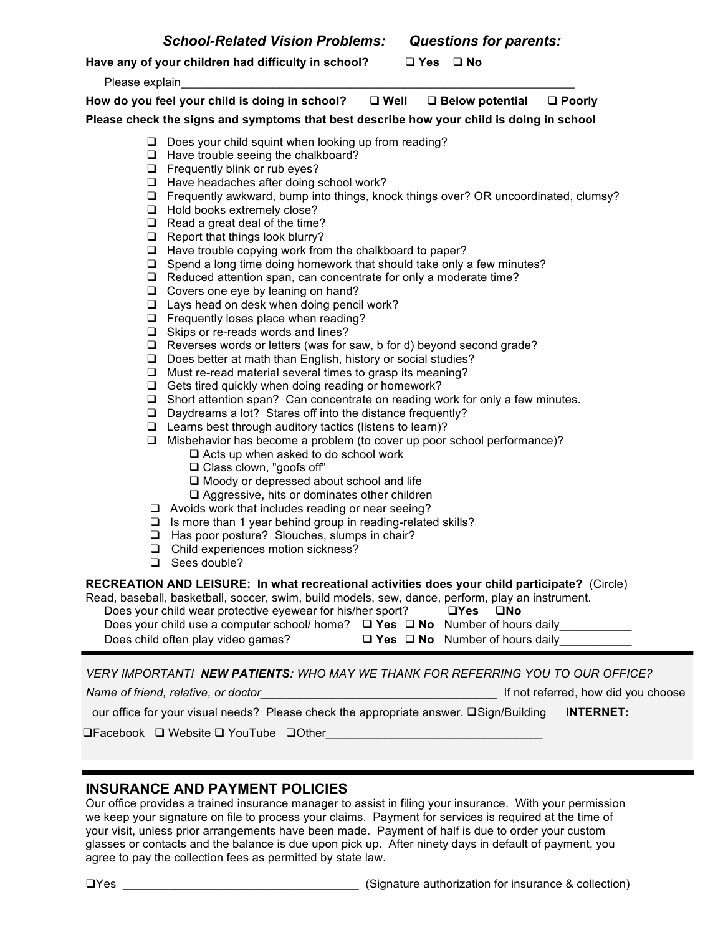**Have any of your children had difficulty in school?** q **Yes** q **No**

Please explain

**How do you feel your child is doing in school?** q **Well** q **Below potential** q **Poorly Please check the signs and symptoms that best describe how your child is doing in school**

- $\Box$  Does your child squint when looking up from reading?
- $\Box$  Have trouble seeing the chalkboard?
- $\Box$  Frequently blink or rub eyes?
- $\Box$  Have headaches after doing school work?
- $\Box$  Frequently awkward, bump into things, knock things over? OR uncoordinated, clumsy?
- $\Box$  Hold books extremely close?
- $\Box$  Read a great deal of the time?
- $\Box$  Report that things look blurry?
- $\Box$  Have trouble copying work from the chalkboard to paper?
- $\Box$  Spend a long time doing homework that should take only a few minutes?
- $\Box$  Reduced attention span, can concentrate for only a moderate time?
- $\Box$  Covers one eye by leaning on hand?
- $\Box$  Lays head on desk when doing pencil work?
- $\Box$  Frequently loses place when reading?
- $\Box$  Skips or re-reads words and lines?
- $\Box$  Reverses words or letters (was for saw, b for d) beyond second grade?
- $\Box$  Does better at math than English, history or social studies?
- $\Box$  Must re-read material several times to grasp its meaning?
- $\Box$  Gets tired quickly when doing reading or homework?
- $\Box$  Short attention span? Can concentrate on reading work for only a few minutes.
- $\Box$  Daydreams a lot? Stares off into the distance frequently?
- $\Box$  Learns best through auditory tactics (listens to learn)?
- $\Box$  Misbehavior has become a problem (to cover up poor school performance)?
	- $\Box$  Acts up when asked to do school work
		- □ Class clown, "goofs off"
		- $\Box$  Moody or depressed about school and life
		- $\Box$  Aggressive, hits or dominates other children
- $\Box$  Avoids work that includes reading or near seeing?
- $\Box$  Is more than 1 year behind group in reading-related skills?
- $\Box$  Has poor posture? Slouches, slumps in chair?
- $\Box$  Child experiences motion sickness?
- $\Box$  Sees double?

**RECREATION AND LEISURE: In what recreational activities does your child participate?** (Circle)

Read, baseball, basketball, soccer, swim, build models, sew, dance, perform, play an instrument.

Does your child wear protective eyewear for his/her sport? q**Yes** q**No** Does your child use a computer school/ home? q **Yes** q **No** Number of hours daily\_\_\_\_\_\_\_\_\_\_\_

Does child often play video games? q **Yes** q **No** Number of hours daily\_\_\_\_\_\_\_\_\_\_\_

*VERY IMPORTANT! NEW PATIENTS: WHO MAY WE THANK FOR REFERRING YOU TO OUR OFFICE?*

*Name of friend, relative, or doctor\_\_\_\_\_\_\_\_\_\_\_\_\_\_\_\_\_\_\_\_\_\_\_\_\_\_\_\_\_\_\_\_\_\_\_\_* If not referred, how did you choose

| our office for your visual needs? Please check the appropriate answer. □Sign/Building | <b>INTERNET:</b> |
|---------------------------------------------------------------------------------------|------------------|
|                                                                                       |                  |

**QFacebook Q Website Q YouTube QOther** 

## **INSURANCE AND PAYMENT POLICIES**

Our office provides a trained insurance manager to assist in filing your insurance. With your permission we keep your signature on file to process your claims. Payment for services is required at the time of your visit, unless prior arrangements have been made. Payment of half is due to order your custom glasses or contacts and the balance is due upon pick up. After ninety days in default of payment, you agree to pay the collection fees as permitted by state law.